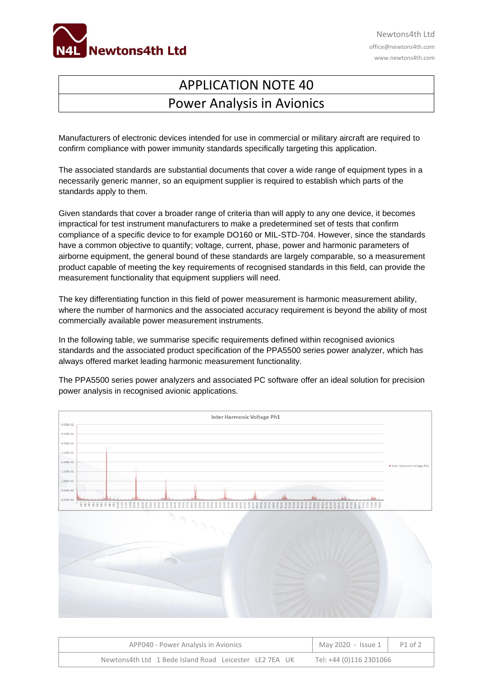

Newtons4th Ltd office@newtons4th.com www.newtons4th.com

## APPLICATION NOTE 40 Power Analysis in Avionics

Manufacturers of electronic devices intended for use in commercial or military aircraft are required to confirm compliance with power immunity standards specifically targeting this application.

The associated standards are substantial documents that cover a wide range of equipment types in a necessarily generic manner, so an equipment supplier is required to establish which parts of the standards apply to them.

Given standards that cover a broader range of criteria than will apply to any one device, it becomes impractical for test instrument manufacturers to make a predetermined set of tests that confirm compliance of a specific device to for example DO160 or MIL-STD-704. However, since the standards have a common objective to quantify; voltage, current, phase, power and harmonic parameters of airborne equipment, the general bound of these standards are largely comparable, so a measurement product capable of meeting the key requirements of recognised standards in this field, can provide the measurement functionality that equipment suppliers will need.

The key differentiating function in this field of power measurement is harmonic measurement ability, where the number of harmonics and the associated accuracy requirement is beyond the ability of most commercially available power measurement instruments.

In the following table, we summarise specific requirements defined within recognised avionics standards and the associated product specification of the PPA5500 series power analyzer, which has always offered market leading harmonic measurement functionality.

The PPA5500 series power analyzers and associated PC software offer an ideal solution for precision power analysis in recognised avionic applications.



| APP040 - Power Analysis in Avionics                    | May 2020 - Issue $1 \mid$ | P1 of 2 |
|--------------------------------------------------------|---------------------------|---------|
| Newtons4th Ltd 1 Bede Island Road Leicester LE2 7EA UK | Tel: +44 (0)116 2301066   |         |